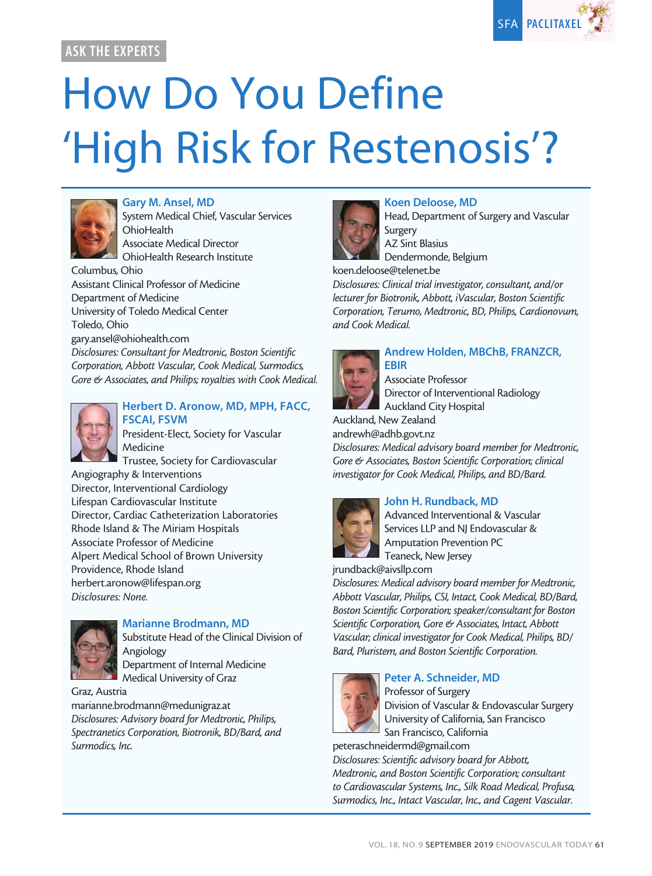

## ASK THE EXPERTS

# How Do You Define 'High Risk for Restenosis'?



#### Gary M. Ansel, MD

System Medical Chief, Vascular Services **OhioHealth** Associate Medical Director

OhioHealth Research Institute

Columbus, Ohio Assistant Clinical Professor of Medicine Department of Medicine University of Toledo Medical Center Toledo, Ohio gary.ansel@ohiohealth.com

*Disclosures: Consultant for Medtronic, Boston Scientific Corporation, Abbott Vascular, Cook Medical, Surmodics, Gore & Associates, and Philips; royalties with Cook Medical.*



#### Herbert D. Aronow, MD, MPH, FACC, FSCAI, FSVM

President-Elect, Society for Vascular Medicine

Trustee, Society for Cardiovascular Angiography & Interventions Director, Interventional Cardiology Lifespan Cardiovascular Institute Director, Cardiac Catheterization Laboratories Rhode Island & The Miriam Hospitals Associate Professor of Medicine Alpert Medical School of Brown University Providence, Rhode Island herbert.aronow@lifespan.org *Disclosures: None.*



## Marianne Brodmann, MD

Substitute Head of the Clinical Division of Angiology Department of Internal Medicine

Medical University of Graz

Graz, Austria

marianne.brodmann@medunigraz.at *Disclosures: Advisory board for Medtronic, Philips, Spectranetics Corporation, Biotronik, BD/Bard, and Surmodics, Inc.*



## Koen Deloose, MD

Head, Department of Surgery and Vascular Surgery AZ Sint Blasius

Dendermonde, Belgium

koen.deloose@telenet.be

*Disclosures: Clinical trial investigator, consultant, and/or lecturer for Biotronik, Abbott, iVascular, Boston Scientific Corporation, Terumo, Medtronic, BD, Philips, Cardionovum, and Cook Medical.*



## Andrew Holden, MBChB, FRANZCR,

Associate Professor Director of Interventional Radiology Auckland City Hospital

Auckland, New Zealand

andrewh@adhb.govt.nz

*Disclosures: Medical advisory board member for Medtronic, Gore & Associates, Boston Scientific Corporation; clinical investigator for Cook Medical, Philips, and BD/Bard.*

## John H. Rundback, MD



Advanced Interventional & Vascular Services LLP and NJ Endovascular & Amputation Prevention PC Teaneck, New Jersey

jrundback@aivsllp.com

*Disclosures: Medical advisory board member for Medtronic, Abbott Vascular, Philips, CSI, Intact, Cook Medical, BD/Bard, Boston Scientific Corporation; speaker/consultant for Boston Scientific Corporation, Gore & Associates, Intact, Abbott Vascular; clinical investigator for Cook Medical, Philips, BD/ Bard, Pluristem, and Boston Scientific Corporation.*



## Peter A. Schneider, MD

Professor of Surgery Division of Vascular & Endovascular Surgery University of California, San Francisco San Francisco, California

peteraschneidermd@gmail.com

*Disclosures: Scientific advisory board for Abbott, Medtronic, and Boston Scientific Corporation; consultant to Cardiovascular Systems, Inc., Silk Road Medical, Profusa, Surmodics, Inc., Intact Vascular, Inc., and Cagent Vascular.*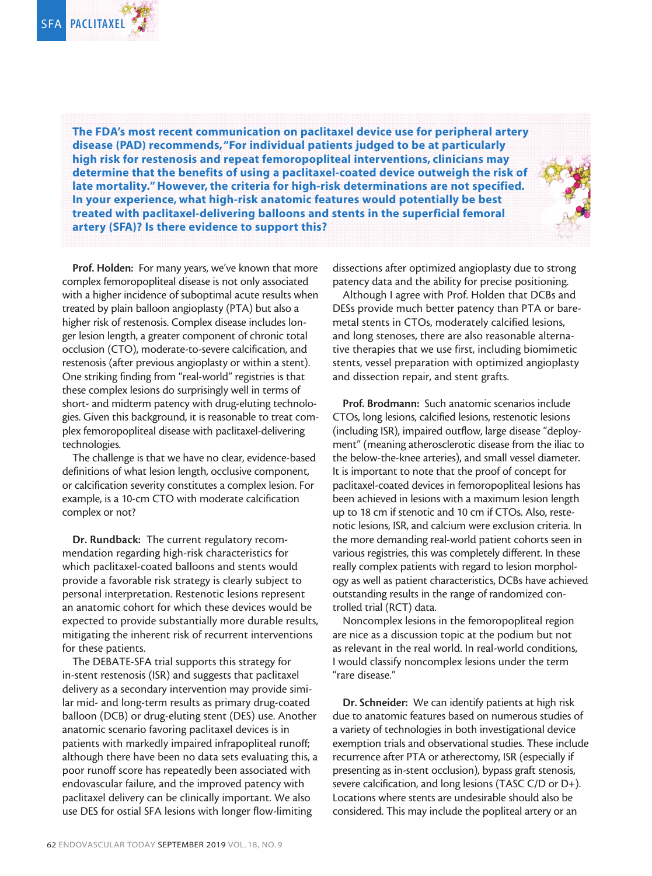

The FDA's most recent communication on paclitaxel device use for peripheral artery disease (PAD) recommends, "For individual patients judged to be at particularly high risk for restenosis and repeat femoropopliteal interventions, clinicians may determine that the benefits of using a paclitaxel-coated device outweigh the risk of late mortality." However, the criteria for high-risk determinations are not specified. In your experience, what high-risk anatomic features would potentially be best treated with paclitaxel-delivering balloons and stents in the superficial femoral artery (SFA)? Is there evidence to support this?



Prof. Holden: For many years, we've known that more complex femoropopliteal disease is not only associated with a higher incidence of suboptimal acute results when treated by plain balloon angioplasty (PTA) but also a higher risk of restenosis. Complex disease includes longer lesion length, a greater component of chronic total occlusion (CTO), moderate-to-severe calcification, and restenosis (after previous angioplasty or within a stent). One striking finding from "real-world" registries is that these complex lesions do surprisingly well in terms of short- and midterm patency with drug-eluting technologies. Given this background, it is reasonable to treat complex femoropopliteal disease with paclitaxel-delivering technologies.

The challenge is that we have no clear, evidence-based definitions of what lesion length, occlusive component, or calcification severity constitutes a complex lesion. For example, is a 10-cm CTO with moderate calcification complex or not?

Dr. Rundback: The current regulatory recommendation regarding high-risk characteristics for which paclitaxel-coated balloons and stents would provide a favorable risk strategy is clearly subject to personal interpretation. Restenotic lesions represent an anatomic cohort for which these devices would be expected to provide substantially more durable results, mitigating the inherent risk of recurrent interventions for these patients.

The DEBATE-SFA trial supports this strategy for in-stent restenosis (ISR) and suggests that paclitaxel delivery as a secondary intervention may provide similar mid- and long-term results as primary drug-coated balloon (DCB) or drug-eluting stent (DES) use. Another anatomic scenario favoring paclitaxel devices is in patients with markedly impaired infrapopliteal runoff; although there have been no data sets evaluating this, a poor runoff score has repeatedly been associated with endovascular failure, and the improved patency with paclitaxel delivery can be clinically important. We also use DES for ostial SFA lesions with longer flow-limiting

dissections after optimized angioplasty due to strong patency data and the ability for precise positioning.

Although I agree with Prof. Holden that DCBs and DESs provide much better patency than PTA or baremetal stents in CTOs, moderately calcified lesions, and long stenoses, there are also reasonable alternative therapies that we use first, including biomimetic stents, vessel preparation with optimized angioplasty and dissection repair, and stent grafts.

Prof. Brodmann: Such anatomic scenarios include CTOs, long lesions, calcified lesions, restenotic lesions (including ISR), impaired outflow, large disease "deployment" (meaning atherosclerotic disease from the iliac to the below-the-knee arteries), and small vessel diameter. It is important to note that the proof of concept for paclitaxel-coated devices in femoropopliteal lesions has been achieved in lesions with a maximum lesion length up to 18 cm if stenotic and 10 cm if CTOs. Also, restenotic lesions, ISR, and calcium were exclusion criteria. In the more demanding real-world patient cohorts seen in various registries, this was completely different. In these really complex patients with regard to lesion morphology as well as patient characteristics, DCBs have achieved outstanding results in the range of randomized controlled trial (RCT) data.

Noncomplex lesions in the femoropopliteal region are nice as a discussion topic at the podium but not as relevant in the real world. In real-world conditions, I would classify noncomplex lesions under the term "rare disease."

Dr. Schneider: We can identify patients at high risk due to anatomic features based on numerous studies of a variety of technologies in both investigational device exemption trials and observational studies. These include recurrence after PTA or atherectomy, ISR (especially if presenting as in-stent occlusion), bypass graft stenosis, severe calcification, and long lesions (TASC C/D or D+). Locations where stents are undesirable should also be considered. This may include the popliteal artery or an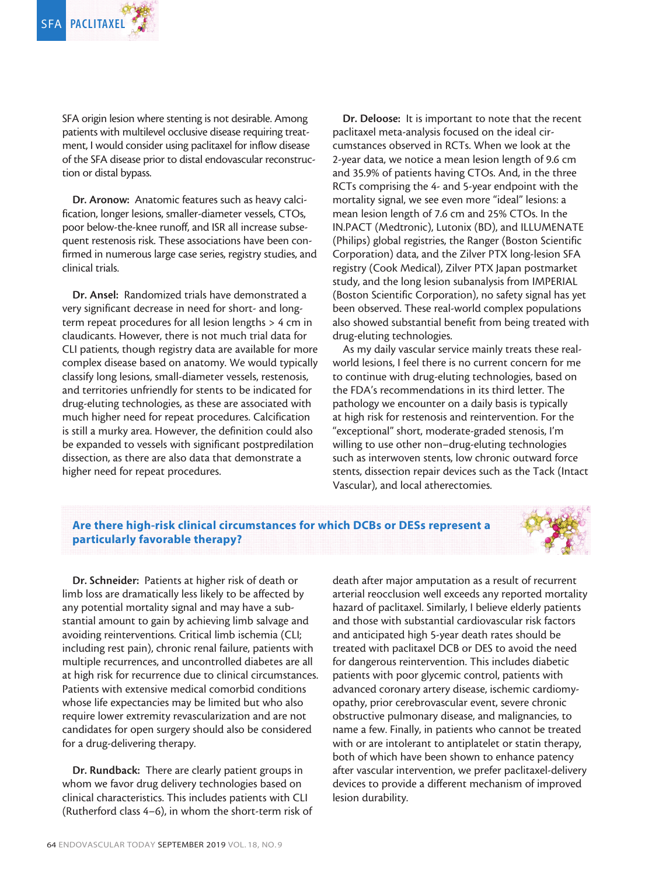SFA origin lesion where stenting is not desirable. Among patients with multilevel occlusive disease requiring treatment, I would consider using paclitaxel for inflow disease of the SFA disease prior to distal endovascular reconstruction or distal bypass.

Dr. Aronow: Anatomic features such as heavy calcification, longer lesions, smaller-diameter vessels, CTOs, poor below-the-knee runoff, and ISR all increase subsequent restenosis risk. These associations have been confirmed in numerous large case series, registry studies, and clinical trials.

Dr. Ansel: Randomized trials have demonstrated a very significant decrease in need for short- and longterm repeat procedures for all lesion lengths > 4 cm in claudicants. However, there is not much trial data for CLI patients, though registry data are available for more complex disease based on anatomy. We would typically classify long lesions, small-diameter vessels, restenosis, and territories unfriendly for stents to be indicated for drug-eluting technologies, as these are associated with much higher need for repeat procedures. Calcification is still a murky area. However, the definition could also be expanded to vessels with significant postpredilation dissection, as there are also data that demonstrate a higher need for repeat procedures.

Dr. Deloose: It is important to note that the recent paclitaxel meta-analysis focused on the ideal circumstances observed in RCTs. When we look at the 2-year data, we notice a mean lesion length of 9.6 cm and 35.9% of patients having CTOs. And, in the three RCTs comprising the 4- and 5-year endpoint with the mortality signal, we see even more "ideal" lesions: a mean lesion length of 7.6 cm and 25% CTOs. In the IN.PACT (Medtronic), Lutonix (BD), and ILLUMENATE (Philips) global registries, the Ranger (Boston Scientific Corporation) data, and the Zilver PTX long-lesion SFA registry (Cook Medical), Zilver PTX Japan postmarket study, and the long lesion subanalysis from IMPERIAL (Boston Scientific Corporation), no safety signal has yet been observed. These real-world complex populations also showed substantial benefit from being treated with drug-eluting technologies.

As my daily vascular service mainly treats these realworld lesions, I feel there is no current concern for me to continue with drug-eluting technologies, based on the FDA's recommendations in its third letter. The pathology we encounter on a daily basis is typically at high risk for restenosis and reintervention. For the "exceptional" short, moderate-graded stenosis, I'm willing to use other non–drug-eluting technologies such as interwoven stents, low chronic outward force stents, dissection repair devices such as the Tack (Intact Vascular), and local atherectomies.

## Are there high-risk clinical circumstances for which DCBs or DESs represent a particularly favorable therapy?



Dr. Schneider: Patients at higher risk of death or limb loss are dramatically less likely to be affected by any potential mortality signal and may have a substantial amount to gain by achieving limb salvage and avoiding reinterventions. Critical limb ischemia (CLI; including rest pain), chronic renal failure, patients with multiple recurrences, and uncontrolled diabetes are all at high risk for recurrence due to clinical circumstances. Patients with extensive medical comorbid conditions whose life expectancies may be limited but who also require lower extremity revascularization and are not candidates for open surgery should also be considered for a drug-delivering therapy.

Dr. Rundback: There are clearly patient groups in whom we favor drug delivery technologies based on clinical characteristics. This includes patients with CLI (Rutherford class 4–6), in whom the short-term risk of death after major amputation as a result of recurrent arterial reocclusion well exceeds any reported mortality hazard of paclitaxel. Similarly, I believe elderly patients and those with substantial cardiovascular risk factors and anticipated high 5-year death rates should be treated with paclitaxel DCB or DES to avoid the need for dangerous reintervention. This includes diabetic patients with poor glycemic control, patients with advanced coronary artery disease, ischemic cardiomyopathy, prior cerebrovascular event, severe chronic obstructive pulmonary disease, and malignancies, to name a few. Finally, in patients who cannot be treated with or are intolerant to antiplatelet or statin therapy, both of which have been shown to enhance patency after vascular intervention, we prefer paclitaxel-delivery devices to provide a different mechanism of improved lesion durability.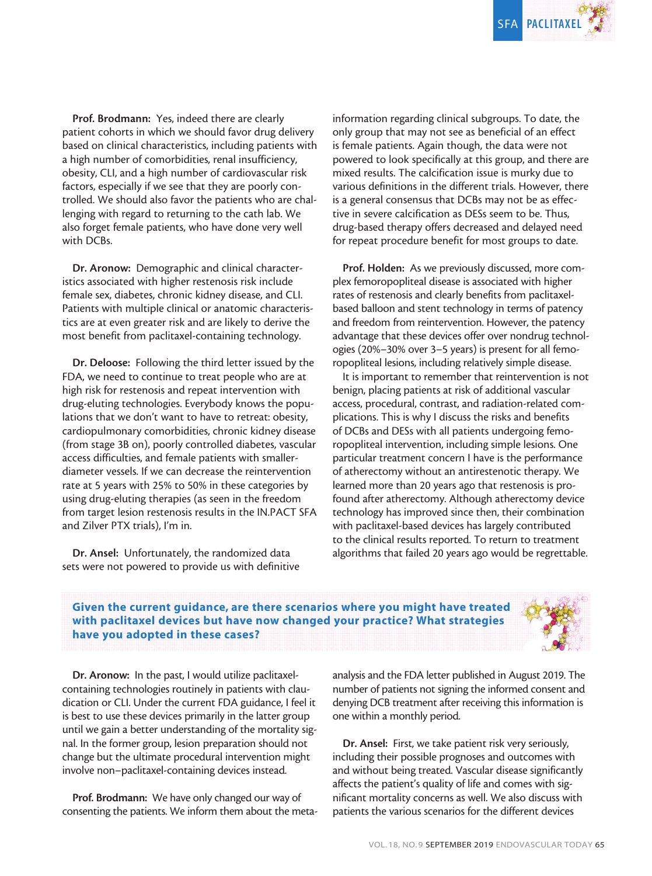

Prof. Brodmann: Yes, indeed there are clearly patient cohorts in which we should favor drug delivery based on clinical characteristics, including patients with a high number of comorbidities, renal insufficiency, obesity, CLI, and a high number of cardiovascular risk factors, especially if we see that they are poorly controlled. We should also favor the patients who are challenging with regard to returning to the cath lab. We also forget female patients, who have done very well with DCBs.

Dr. Aronow: Demographic and clinical characteristics associated with higher restenosis risk include female sex, diabetes, chronic kidney disease, and CLI. Patients with multiple clinical or anatomic characteristics are at even greater risk and are likely to derive the most benefit from paclitaxel-containing technology.

Dr. Deloose: Following the third letter issued by the FDA, we need to continue to treat people who are at high risk for restenosis and repeat intervention with drug-eluting technologies. Everybody knows the populations that we don't want to have to retreat: obesity, cardiopulmonary comorbidities, chronic kidney disease (from stage 3B on), poorly controlled diabetes, vascular access difficulties, and female patients with smallerdiameter vessels. If we can decrease the reintervention rate at 5 years with 25% to 50% in these categories by using drug-eluting therapies (as seen in the freedom from target lesion restenosis results in the IN.PACT SFA and Zilver PTX trials), I'm in.

Dr. Ansel: Unfortunately, the randomized data sets were not powered to provide us with definitive information regarding clinical subgroups. To date, the only group that may not see as beneficial of an effect is female patients. Again though, the data were not powered to look specifically at this group, and there are mixed results. The calcification issue is murky due to various definitions in the different trials. However, there is a general consensus that DCBs may not be as effective in severe calcification as DESs seem to be. Thus, drug-based therapy offers decreased and delayed need for repeat procedure benefit for most groups to date.

Prof. Holden: As we previously discussed, more complex femoropopliteal disease is associated with higher rates of restenosis and clearly benefits from paclitaxelbased balloon and stent technology in terms of patency and freedom from reintervention. However, the patency advantage that these devices offer over nondrug technologies (20%–30% over 3–5 years) is present for all femoropopliteal lesions, including relatively simple disease.

It is important to remember that reintervention is not benign, placing patients at risk of additional vascular access, procedural, contrast, and radiation-related complications. This is why I discuss the risks and benefits of DCBs and DESs with all patients undergoing femoropopliteal intervention, including simple lesions. One particular treatment concern I have is the performance of atherectomy without an antirestenotic therapy. We learned more than 20 years ago that restenosis is profound after atherectomy. Although atherectomy device technology has improved since then, their combination with paclitaxel-based devices has largely contributed to the clinical results reported. To return to treatment algorithms that failed 20 years ago would be regrettable.

#### Given the current guidance, are there scenarios where you might have treated with paclitaxel devices but have now changed your practice? What strategies have you adopted in these cases?



Dr. Aronow: In the past, I would utilize paclitaxelcontaining technologies routinely in patients with claudication or CLI. Under the current FDA guidance, I feel it is best to use these devices primarily in the latter group until we gain a better understanding of the mortality signal. In the former group, lesion preparation should not change but the ultimate procedural intervention might involve non–paclitaxel-containing devices instead.

Prof. Brodmann: We have only changed our way of consenting the patients. We inform them about the metaanalysis and the FDA letter published in August 2019. The number of patients not signing the informed consent and denying DCB treatment after receiving this information is one within a monthly period.

Dr. Ansel: First, we take patient risk very seriously, including their possible prognoses and outcomes with and without being treated. Vascular disease significantly affects the patient's quality of life and comes with significant mortality concerns as well. We also discuss with patients the various scenarios for the different devices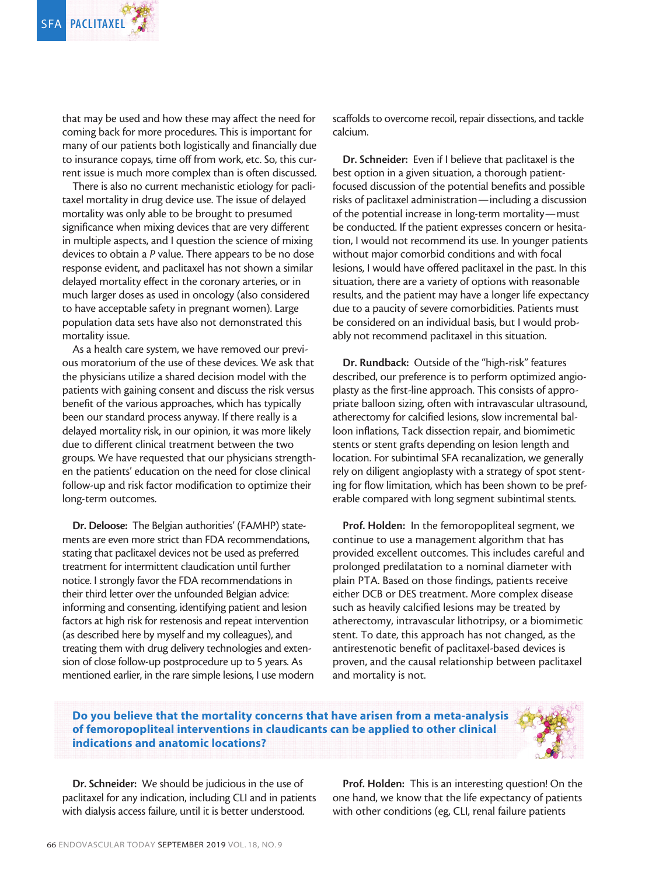

that may be used and how these may affect the need for coming back for more procedures. This is important for many of our patients both logistically and financially due to insurance copays, time off from work, etc. So, this current issue is much more complex than is often discussed.

There is also no current mechanistic etiology for paclitaxel mortality in drug device use. The issue of delayed mortality was only able to be brought to presumed significance when mixing devices that are very different in multiple aspects, and I question the science of mixing devices to obtain a *P* value. There appears to be no dose response evident, and paclitaxel has not shown a similar delayed mortality effect in the coronary arteries, or in much larger doses as used in oncology (also considered to have acceptable safety in pregnant women). Large population data sets have also not demonstrated this mortality issue.

As a health care system, we have removed our previous moratorium of the use of these devices. We ask that the physicians utilize a shared decision model with the patients with gaining consent and discuss the risk versus benefit of the various approaches, which has typically been our standard process anyway. If there really is a delayed mortality risk, in our opinion, it was more likely due to different clinical treatment between the two groups. We have requested that our physicians strengthen the patients' education on the need for close clinical follow-up and risk factor modification to optimize their long-term outcomes.

Dr. Deloose: The Belgian authorities' (FAMHP) statements are even more strict than FDA recommendations, stating that paclitaxel devices not be used as preferred treatment for intermittent claudication until further notice. I strongly favor the FDA recommendations in their third letter over the unfounded Belgian advice: informing and consenting, identifying patient and lesion factors at high risk for restenosis and repeat intervention (as described here by myself and my colleagues), and treating them with drug delivery technologies and extension of close follow-up postprocedure up to 5 years. As mentioned earlier, in the rare simple lesions, I use modern scaffolds to overcome recoil, repair dissections, and tackle calcium.

Dr. Schneider: Even if I believe that paclitaxel is the best option in a given situation, a thorough patientfocused discussion of the potential benefits and possible risks of paclitaxel administration—including a discussion of the potential increase in long-term mortality—must be conducted. If the patient expresses concern or hesitation, I would not recommend its use. In younger patients without major comorbid conditions and with focal lesions, I would have offered paclitaxel in the past. In this situation, there are a variety of options with reasonable results, and the patient may have a longer life expectancy due to a paucity of severe comorbidities. Patients must be considered on an individual basis, but I would probably not recommend paclitaxel in this situation.

Dr. Rundback: Outside of the "high-risk" features described, our preference is to perform optimized angioplasty as the first-line approach. This consists of appropriate balloon sizing, often with intravascular ultrasound, atherectomy for calcified lesions, slow incremental balloon inflations, Tack dissection repair, and biomimetic stents or stent grafts depending on lesion length and location. For subintimal SFA recanalization, we generally rely on diligent angioplasty with a strategy of spot stenting for flow limitation, which has been shown to be preferable compared with long segment subintimal stents.

Prof. Holden: In the femoropopliteal segment, we continue to use a management algorithm that has provided excellent outcomes. This includes careful and prolonged predilatation to a nominal diameter with plain PTA. Based on those findings, patients receive either DCB or DES treatment. More complex disease such as heavily calcified lesions may be treated by atherectomy, intravascular lithotripsy, or a biomimetic stent. To date, this approach has not changed, as the antirestenotic benefit of paclitaxel-based devices is proven, and the causal relationship between paclitaxel and mortality is not.

## Do you believe that the mortality concerns that have arisen from a meta-analysis of femoropopliteal interventions in claudicants can be applied to other clinical indications and anatomic locations?



Dr. Schneider: We should be judicious in the use of paclitaxel for any indication, including CLI and in patients with dialysis access failure, until it is better understood.

Prof. Holden: This is an interesting question! On the one hand, we know that the life expectancy of patients with other conditions (eg, CLI, renal failure patients